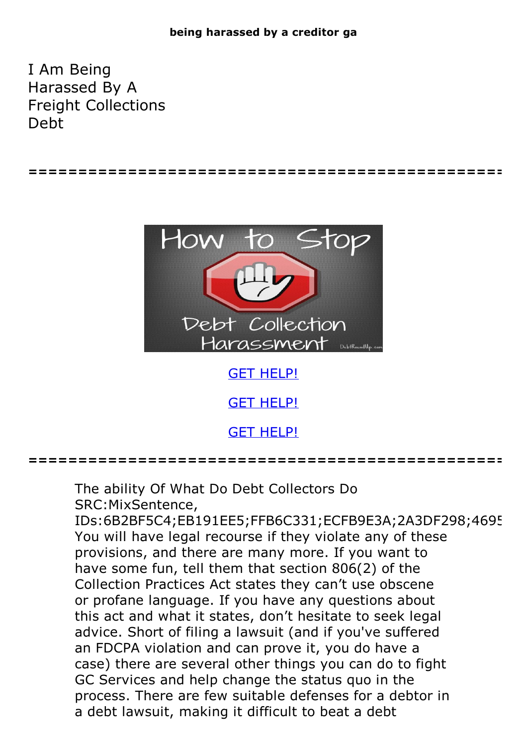## **being harassed by a creditor ga**

I Am Being Harassed By A Freight Collections Debt



**================================================**

GET [HELP!](https://runpdf.xyz/pdf)

**GET [HELP!](https://runpdf.xyz/pdf)** 

**================================================**

The ability Of What Do Debt Collectors Do SRC:MixSentence, IDs:6B2BF5C4;EB191EE5;FFB6C331;ECFB9E3A;2A3DF298;4695 You will have legal recourse if they violate any of these provisions, and there are many more. If you want to have some fun, tell them that section 806(2) of the Collection Practices Act states they can't use obscene or profane language. If you have any questions about this act and what it states, don't hesitate to seek legal advice. Short of filing a lawsuit (and if you've suffered an FDCPA violation and can prove it, you do have a case) there are several other things you can do to fight GC Services and help change the status quo in the process. There are few suitable defenses for a debtor in a debt lawsuit, making it difficult to beat a debt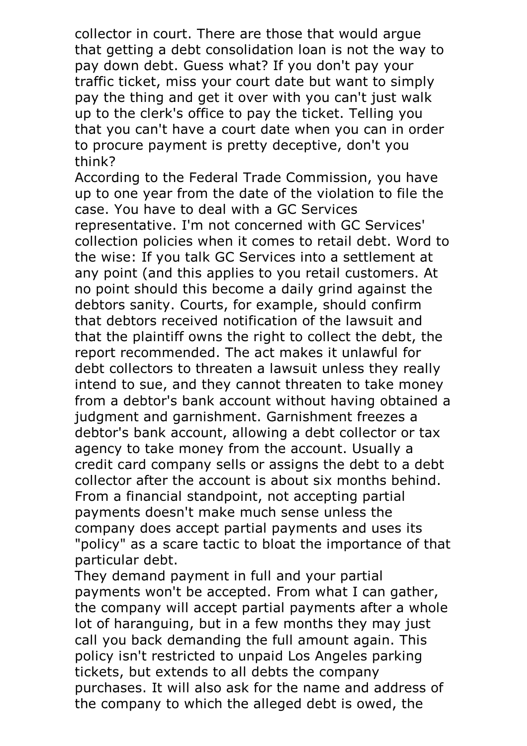collector in court. There are those that would argue that getting a debt consolidation loan is not the way to pay down debt. Guess what? If you don't pay your traffic ticket, miss your court date but want to simply pay the thing and get it over with you can't just walk up to the clerk's office to pay the ticket. Telling you that you can't have a court date when you can in order to procure payment is pretty deceptive, don't you think?

According to the Federal Trade Commission, you have up to one year from the date of the violation to file the case. You have to deal with a GC Services representative. I'm not concerned with GC Services' collection policies when it comes to retail debt. Word to the wise: If you talk GC Services into a settlement at any point (and this applies to you retail customers. At no point should this become a daily grind against the debtors sanity. Courts, for example, should confirm that debtors received notification of the lawsuit and that the plaintiff owns the right to collect the debt, the report recommended. The act makes it unlawful for debt collectors to threaten a lawsuit unless they really intend to sue, and they cannot threaten to take money from a debtor's bank account without having obtained a judgment and garnishment. Garnishment freezes a debtor's bank account, allowing a debt collector or tax agency to take money from the account. Usually a credit card company sells or assigns the debt to a debt collector after the account is about six months behind. From a financial standpoint, not accepting partial payments doesn't make much sense unless the company does accept partial payments and uses its "policy" as a scare tactic to bloat the importance of that

particular debt. They demand payment in full and your partial payments won't be accepted. From what I can gather, the company will accept partial payments after a whole lot of haranguing, but in a few months they may just call you back demanding the full amount again. This policy isn't restricted to unpaid Los Angeles parking tickets, but extends to all debts the company purchases. It will also ask for the name and address of the company to which the alleged debt is owed, the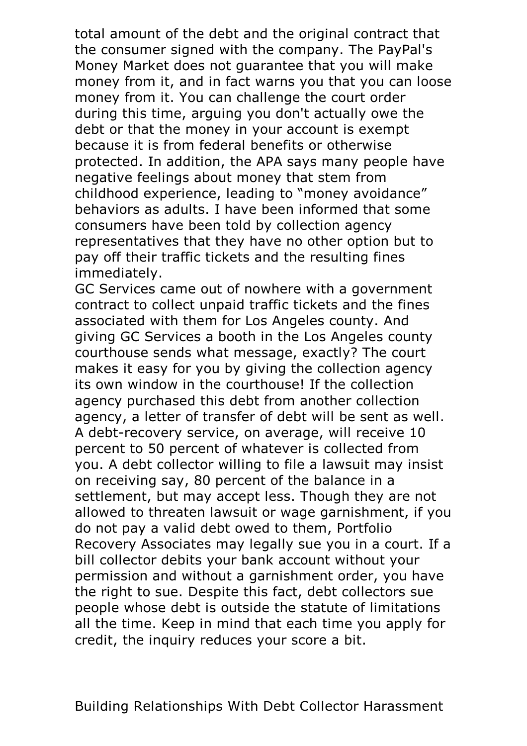total amount of the debt and the original contract that the consumer signed with the company. The PayPal's Money Market does not guarantee that you will make money from it, and in fact warns you that you can loose money from it. You can challenge the court order during this time, arguing you don't actually owe the debt or that the money in your account is exempt because it is from federal benefits or otherwise protected. In addition, the APA says many people have negative feelings about money that stem from childhood experience, leading to "money avoidance" behaviors as adults. <sup>I</sup> have been informed that some consumers have been told by collection agency representatives that they have no other option but to pay off their traffic tickets and the resulting fines immediately.<br>GC Services came out of nowhere with a government

contract to collect unpaid traffic tickets and the fines associated with them for Los Angeles county. And giving GC Services a booth in the Los Angeles county courthouse sends what message, exactly? The court makes it easy for you by giving the collection agency its own window in the courthouse! If the collection agency purchased this debt from another collection agency, <sup>a</sup> letter of transfer of debt will be sent as well. <sup>A</sup> debt-recovery service, on average, will receive <sup>10</sup> percent to 50 percent of whatever is collected from you. A debt collector willing to file a lawsuit may insist on receiving say, 80 percent of the balance in a settlement, but may accept less. Though they are not allowed to threaten lawsuit or wage garnishment, if you do not pay a valid debt owed to them, Portfolio Recovery Associates may legally sue you in a court. If a bill collector debits your bank account without your permission and without a garnishment order, you have the right to sue. Despite this fact, debt collectors sue people whose debt is outside the statute of limitations all the time. Keep in mind that each time you apply for credit, the inquiry reduces your score a bit.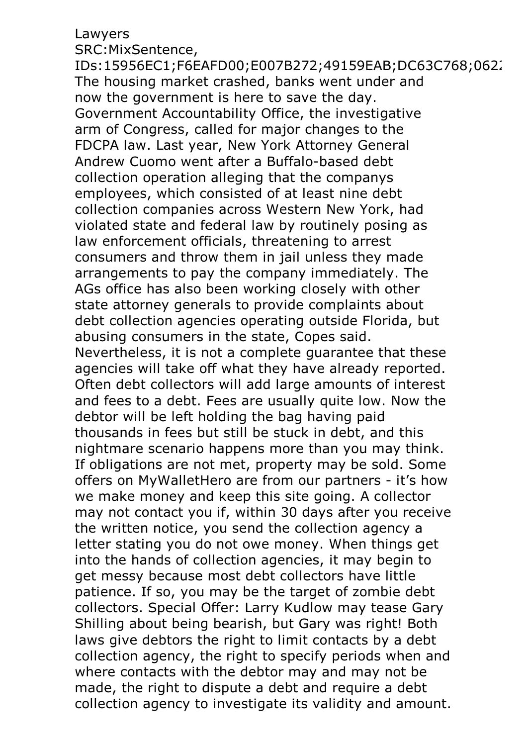## Lawyers

SRC:MixSentence,<br>IDs:15956EC1;F6EAFD00;E007B272;49159EAB;DC63C768;062; IDs:15956EC1;F6EAFD00;E007B272;49159EAB;DC63C768;062. The housing market crashed, banks went under and now the government is here to save the day. Government Accountability Office, the investigative arm of Congress, called for major changes to the FDCPA law. Last year, New York Attorney General Andrew Cuomo went after a Buffalo-based debt collection operation alleging that the companys employees, which consisted of at least nine debt collection companies across Western New York, had violated state and federal law by routinely posing as law enforcement officials, threatening to arrest consumers and throw them in jail unless they made arrangements to pay the company immediately. The AGs office has also been working closely with other state attorney generals to provide complaints about debt collection agencies operating outside Florida, but abusing consumers in the state, Copes said. Nevertheless, it is not <sup>a</sup> complete guarantee that these agencies will take off what they have already reported. Often debt collectors will add large amounts of interest and fees to a debt. Fees are usually quite low. Now the debtor will be left holding the bag having paid thousands in fees but still be stuck in debt, and this nightmare scenario happens more than you may think. If obligations are not met, property may be sold. Some offers on MyWalletHero are from our partners - it's how we make money and keep this site going. A collector may not contact you if, within 30 days after you receive the written notice, you send the collection agency a letter stating you do not owe money. When things get into the hands of collection agencies, it may begin to get messy because most debt collectors have little patience. If so, you may be the target of zombie debt collectors. Special Offer: Larry Kudlow may tease Gary Shilling about being bearish, but Gary was right! Both laws give debtors the right to limit contacts by a debt collection agency, the right to specify periods when and where contacts with the debtor may and may not be made, the right to dispute a debt and require a debt collection agency to investigate its validity and amount.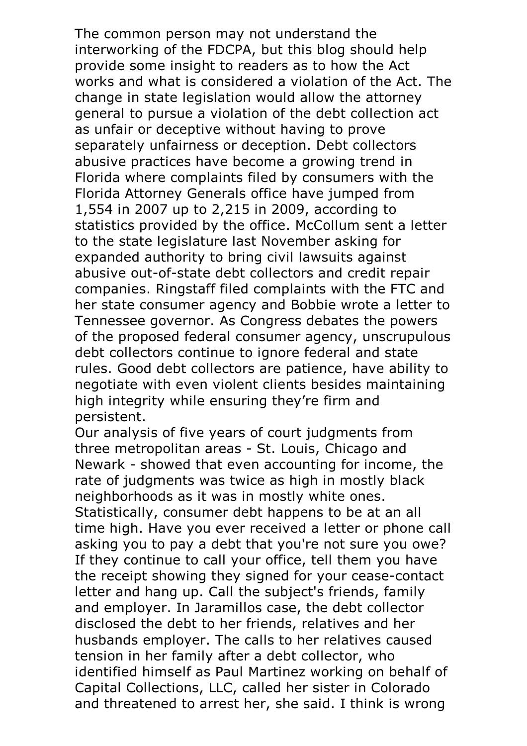The common person may not understand the interworking of the FDCPA, but this blog should help provide some insight to readers as to how the Act works and what is considered a violation of the Act. The change in state legislation would allow the attorney general to pursue a violation of the debt collection act as unfair or deceptive without having to prove separately unfairness or deception. Debt collectors abusive practices have become a growing trend in Florida where complaints filed by consumers with the Florida Attorney Generals office have jumped from 1,554 in 2007 up to 2,215 in 2009, according to statistics provided by the office. McCollum sent a letter to the state legislature last November asking for expanded authority to bring civil lawsuits against abusive out-of-state debt collectors and credit repair companies. Ringstaff filed complaints with the FTC and her state consumer agency and Bobbie wrote a letter to Tennessee governor. As Congress debates the powers of the proposed federal consumer agency, unscrupulous debt collectors continue to ignore federal and state rules. Good debt collectors are patience, have ability to negotiate with even violent clients besides maintaining high integrity while ensuring they're firm and persistent.<br>Our analysis of five years of court judgments from

three metropolitan areas - St. Louis, Chicago and Newark - showed that even accounting for income, the rate of judgments was twice as high in mostly black neighborhoods as it was in mostly white ones. Statistically, consumer debt happens to be at an all time high. Have you ever received a letter or phone call asking you to pay a debt that you're not sure you owe? If they continue to call your office, tell them you have the receipt showing they signed for your cease-contact letter and hang up. Call the subject's friends, family and employer. In Jaramillos case, the debt collector disclosed the debt to her friends, relatives and her husbands employer. The calls to her relatives caused tension in her family after a debt collector, who identified himself as Paul Martinez working on behalf of Capital Collections, LLC, called her sister in Colorado and threatened to arrest her, she said. I think is wrong